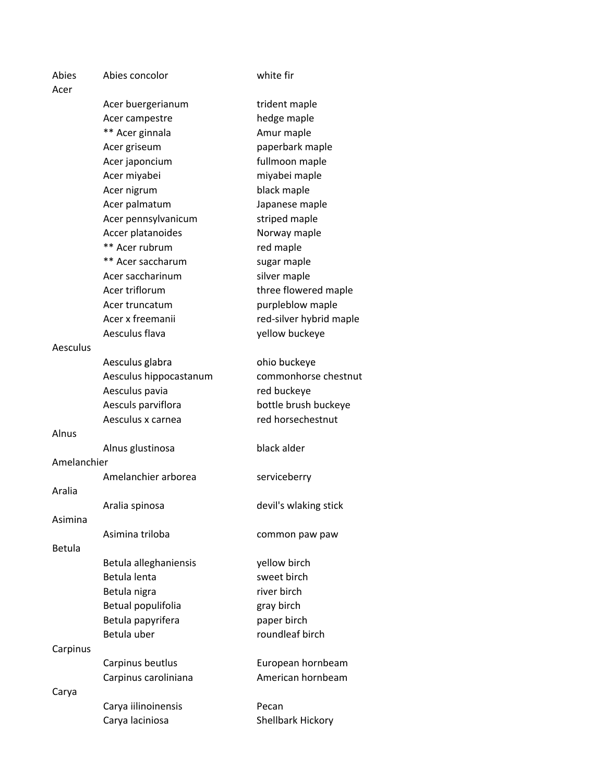| Abies<br>Acer | Abies concolor                   | white fir                      |
|---------------|----------------------------------|--------------------------------|
|               | Acer buergerianum                | trident maple                  |
|               | Acer campestre                   | hedge maple                    |
|               | ** Acer ginnala                  | Amur maple                     |
|               |                                  | paperbark maple                |
|               | Acer griseum                     |                                |
|               | Acer japoncium                   | fullmoon maple                 |
|               | Acer miyabei                     | miyabei maple                  |
|               | Acer nigrum                      | black maple                    |
|               | Acer palmatum                    | Japanese maple                 |
|               | Acer pennsylvanicum              | striped maple                  |
|               | Accer platanoides                | Norway maple                   |
|               | ** Acer rubrum                   | red maple                      |
|               | ** Acer saccharum                | sugar maple                    |
|               | Acer saccharinum                 | silver maple                   |
|               | Acer triflorum                   | three flowered maple           |
|               | Acer truncatum                   | purpleblow maple               |
|               | Acer x freemanii                 | red-silver hybrid maple        |
|               | Aesculus flava                   | yellow buckeye                 |
| Aesculus      |                                  |                                |
|               | Aesculus glabra                  | ohio buckeye                   |
|               | Aesculus hippocastanum           | commonhorse chestnut           |
|               | Aesculus pavia                   | red buckeye                    |
|               | Aesculs parviflora               | bottle brush buckeye           |
|               | Aesculus x carnea                | red horsechestnut              |
| Alnus         |                                  |                                |
|               | Alnus glustinosa                 | black alder                    |
| Amelanchier   |                                  |                                |
|               | Amelanchier arborea              | serviceberry                   |
| Aralia        |                                  |                                |
|               | Aralia spinosa                   | devil's wlaking stick          |
| Asimina       |                                  |                                |
|               | Asimina triloba                  | common paw paw                 |
| <b>Betula</b> |                                  |                                |
|               | Betula alleghaniensis            | yellow birch                   |
|               | Betula lenta                     | sweet birch                    |
|               | Betula nigra                     | river birch                    |
|               | Betual populifolia               | gray birch                     |
|               |                                  |                                |
|               | Betula papyrifera<br>Betula uber | paper birch<br>roundleaf birch |
|               |                                  |                                |
| Carpinus      |                                  |                                |
|               | Carpinus beutlus                 | European hornbeam              |
|               | Carpinus caroliniana             | American hornbeam              |
| Carya         |                                  |                                |
|               | Carya iilinoinensis              | Pecan                          |
|               | Carya laciniosa                  | Shellbark Hickory              |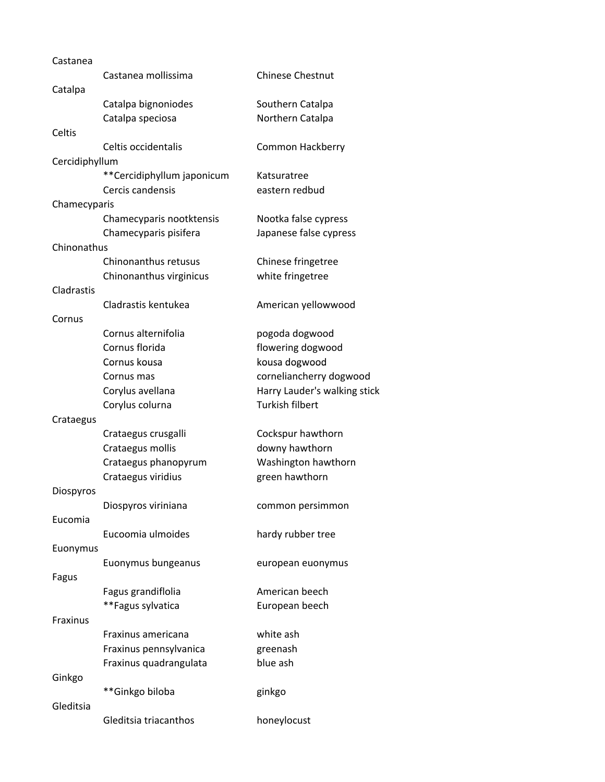| Castanea       |                            |                              |
|----------------|----------------------------|------------------------------|
|                | Castanea mollissima        | <b>Chinese Chestnut</b>      |
| Catalpa        |                            |                              |
|                | Catalpa bignoniodes        | Southern Catalpa             |
|                | Catalpa speciosa           | Northern Catalpa             |
| Celtis         |                            |                              |
|                | Celtis occidentalis        | Common Hackberry             |
| Cercidiphyllum |                            |                              |
|                | **Cercidiphyllum japonicum | Katsuratree                  |
|                | Cercis candensis           | eastern redbud               |
| Chamecyparis   |                            |                              |
|                | Chamecyparis nootktensis   | Nootka false cypress         |
|                | Chamecyparis pisifera      | Japanese false cypress       |
| Chinonathus    |                            |                              |
|                | Chinonanthus retusus       | Chinese fringetree           |
|                | Chinonanthus virginicus    | white fringetree             |
| Cladrastis     |                            |                              |
|                | Cladrastis kentukea        | American yellowwood          |
| Cornus         |                            |                              |
|                | Cornus alternifolia        | pogoda dogwood               |
|                | Cornus florida             | flowering dogwood            |
|                | Cornus kousa               | kousa dogwood                |
|                | Cornus mas                 | corneliancherry dogwood      |
|                | Corylus avellana           | Harry Lauder's walking stick |
|                | Corylus colurna            | <b>Turkish filbert</b>       |
| Crataegus      |                            |                              |
|                | Crataegus crusgalli        | Cockspur hawthorn            |
|                | Crataegus mollis           | downy hawthorn               |
|                | Crataegus phanopyrum       | Washington hawthorn          |
|                | Crataegus viridius         | green hawthorn               |
| Diospyros      |                            |                              |
|                | Diospyros viriniana        | common persimmon             |
| Eucomia        |                            |                              |
|                | Eucoomia ulmoides          | hardy rubber tree            |
| Euonymus       |                            |                              |
|                | Euonymus bungeanus         | european euonymus            |
| Fagus          |                            |                              |
|                | Fagus grandiflolia         | American beech               |
|                | **Fagus sylvatica          |                              |
| Fraxinus       |                            | European beech               |
|                | Fraxinus americana         | white ash                    |
|                |                            |                              |
|                | Fraxinus pennsylvanica     | greenash                     |
|                | Fraxinus quadrangulata     | blue ash                     |
| Ginkgo         |                            |                              |
|                | **Ginkgo biloba            | ginkgo                       |
| Gleditsia      |                            |                              |
|                | Gleditsia triacanthos      | honeylocust                  |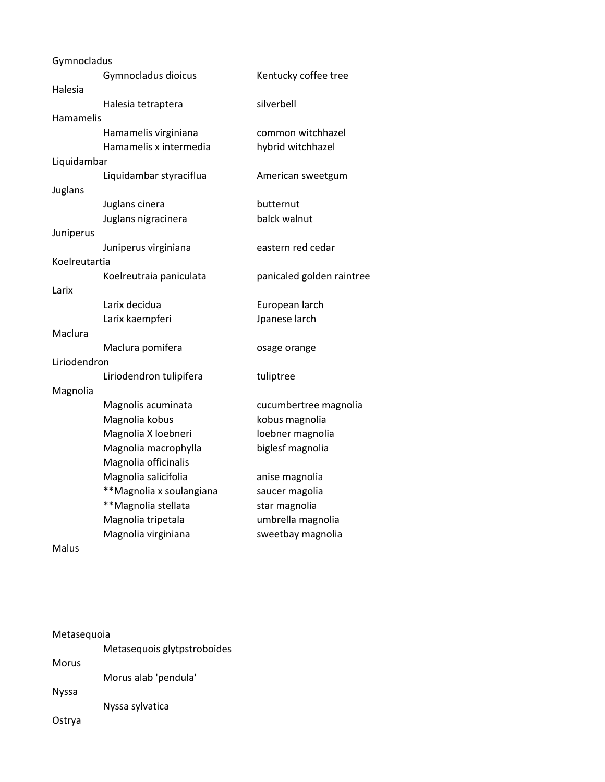| Gymnocladus      |                          |                           |
|------------------|--------------------------|---------------------------|
|                  | Gymnocladus dioicus      | Kentucky coffee tree      |
| Halesia          |                          |                           |
|                  | Halesia tetraptera       | silverbell                |
| <b>Hamamelis</b> |                          |                           |
|                  | Hamamelis virginiana     | common witchhazel         |
|                  | Hamamelis x intermedia   | hybrid witchhazel         |
| Liquidambar      |                          |                           |
|                  | Liquidambar styraciflua  | American sweetgum         |
| Juglans          |                          |                           |
|                  | Juglans cinera           | butternut                 |
|                  | Juglans nigracinera      | balck walnut              |
| Juniperus        |                          |                           |
|                  | Juniperus virginiana     | eastern red cedar         |
| Koelreutartia    |                          |                           |
|                  | Koelreutraia paniculata  | panicaled golden raintree |
| Larix            |                          |                           |
|                  | Larix decidua            | European larch            |
|                  | Larix kaempferi          | Jpanese larch             |
| Maclura          |                          |                           |
|                  | Maclura pomifera         | osage orange              |
| Liriodendron     |                          |                           |
|                  | Liriodendron tulipifera  | tuliptree                 |
| Magnolia         |                          |                           |
|                  | Magnolis acuminata       | cucumbertree magnolia     |
|                  | Magnolia kobus           | kobus magnolia            |
|                  | Magnolia X loebneri      | loebner magnolia          |
|                  | Magnolia macrophylla     | biglesf magnolia          |
|                  | Magnolia officinalis     |                           |
|                  | Magnolia salicifolia     | anise magnolia            |
|                  | **Magnolia x soulangiana | saucer magolia            |
|                  | **Magnolia stellata      | star magnolia             |
|                  | Magnolia tripetala       | umbrella magnolia         |
|                  | Magnolia virginiana      | sweetbay magnolia         |
| $A - L$          |                          |                           |

Malus

| Metasequoia  |                             |  |
|--------------|-----------------------------|--|
|              | Metasequois glytpstroboides |  |
| Morus        |                             |  |
|              | Morus alab 'pendula'        |  |
| <b>Nyssa</b> |                             |  |
|              | Nyssa sylvatica             |  |
| Ostrya       |                             |  |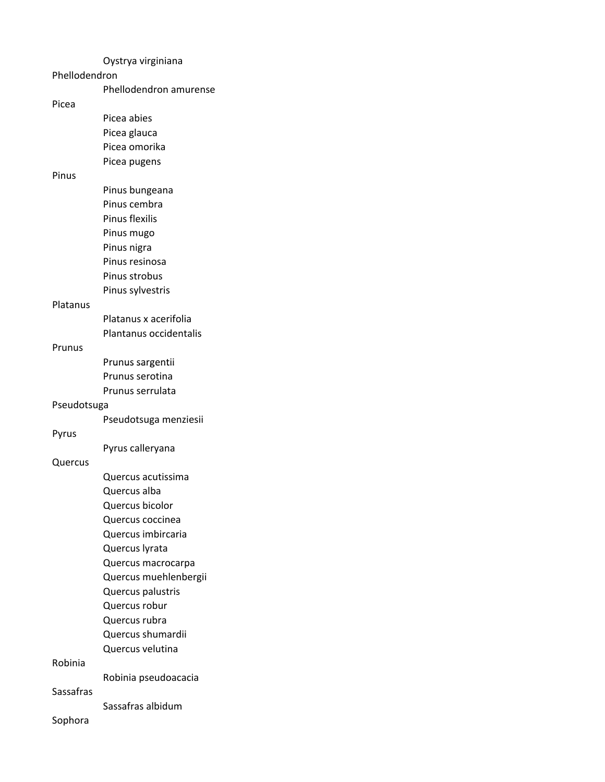## Prunus sargentii Oystrya virginiana Phellodendron Phellodendron amurense Picea Picea abies Picea glauca Picea omorika Picea pugens Pinus Pinus bungeana Pinus cembra Pinus flexilis Pinus mugo Pinus nigra Pinus resinosa Pinus strobus Pinus sylvestris Platanus Platanus x acerifolia Plantanus occidentalis Prunus Prunus serotina Prunus serrulata Pseudotsuga Pseudotsuga menziesii Pyrus Pyrus calleryana Quercus Quercus acutissima Quercus alba Quercus bicolor Quercus coccinea Quercus imbircaria Quercus lyrata Quercus macrocarpa Quercus muehlenbergii Quercus palustris Quercus robur Quercus rubra Quercus shumardii Quercus velutina Robinia Robinia pseudoacacia Sassafras Sassafras albidum

Sophora